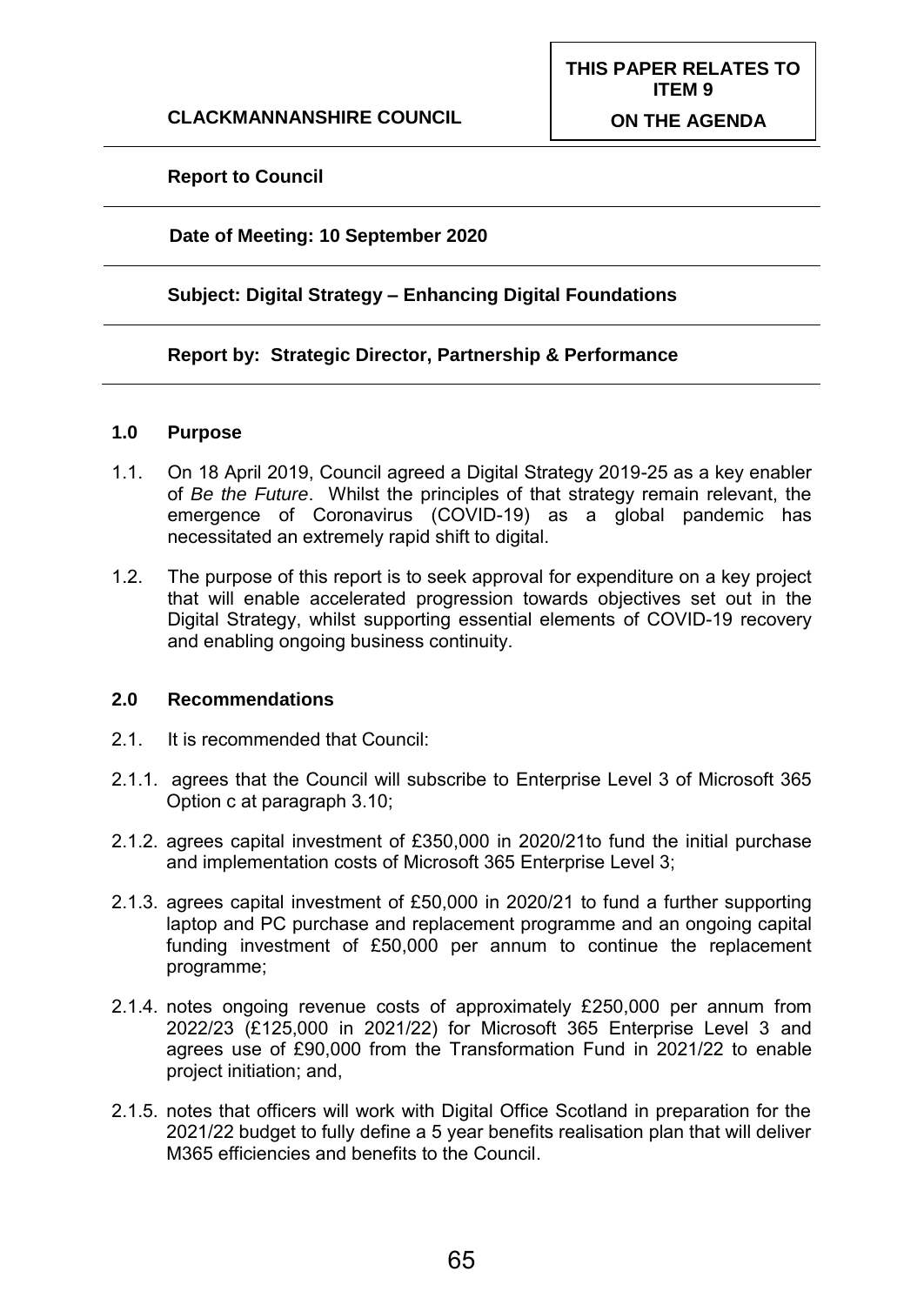## **Report to Council**

#### **Date of Meeting: 10 September 2020**

#### **Subject: Digital Strategy – Enhancing Digital Foundations**

#### **Report by: Strategic Director, Partnership & Performance**

#### **1.0 Purpose**

- 1.1. On 18 April 2019, Council agreed a Digital Strategy 2019-25 as a key enabler of *Be the Future*. Whilst the principles of that strategy remain relevant, the emergence of Coronavirus (COVID-19) as a global pandemic has necessitated an extremely rapid shift to digital.
- 1.2. The purpose of this report is to seek approval for expenditure on a key project that will enable accelerated progression towards objectives set out in the Digital Strategy, whilst supporting essential elements of COVID-19 recovery and enabling ongoing business continuity.

#### **2.0 Recommendations**

- 2.1. It is recommended that Council:
- 2.1.1. agrees that the Council will subscribe to Enterprise Level 3 of Microsoft 365 Option c at paragraph 3.10;
- 2.1.2. agrees capital investment of £350,000 in 2020/21to fund the initial purchase and implementation costs of Microsoft 365 Enterprise Level 3;
- 2.1.3. agrees capital investment of £50,000 in 2020/21 to fund a further supporting laptop and PC purchase and replacement programme and an ongoing capital funding investment of £50,000 per annum to continue the replacement programme;
- 2.1.4. notes ongoing revenue costs of approximately £250,000 per annum from 2022/23 (£125,000 in 2021/22) for Microsoft 365 Enterprise Level 3 and agrees use of £90,000 from the Transformation Fund in 2021/22 to enable project initiation; and,
- 2.1.5. notes that officers will work with Digital Office Scotland in preparation for the 2021/22 budget to fully define a 5 year benefits realisation plan that will deliver M365 efficiencies and benefits to the Council.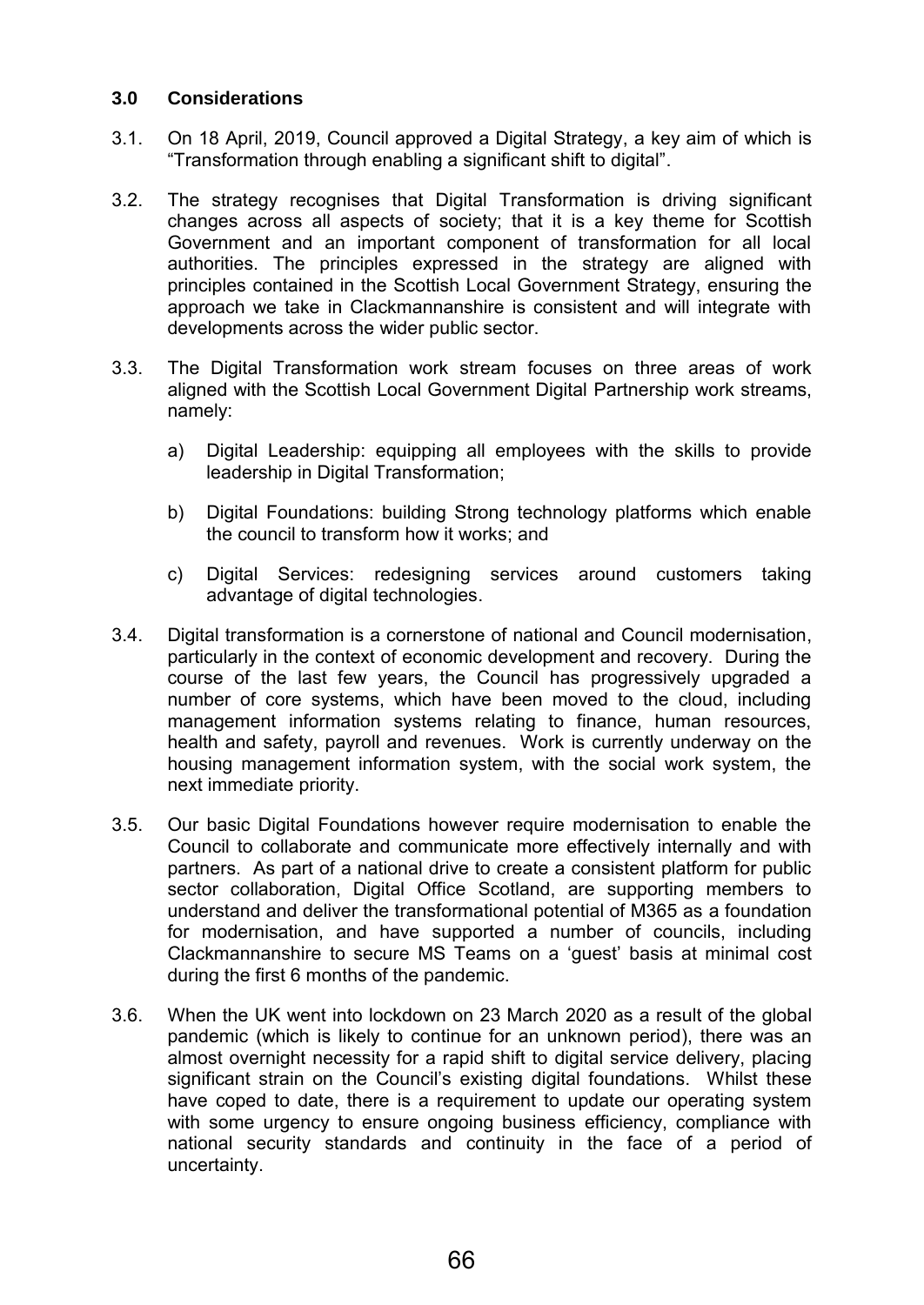## **3.0 Considerations**

- 3.1. On 18 April, 2019, Council approved a Digital Strategy, a key aim of which is "Transformation through enabling a significant shift to digital".
- 3.2. The strategy recognises that Digital Transformation is driving significant changes across all aspects of society; that it is a key theme for Scottish Government and an important component of transformation for all local authorities. The principles expressed in the strategy are aligned with principles contained in the Scottish Local Government Strategy, ensuring the approach we take in Clackmannanshire is consistent and will integrate with developments across the wider public sector.
- 3.3. The Digital Transformation work stream focuses on three areas of work aligned with the Scottish Local Government Digital Partnership work streams, namely:
	- a) Digital Leadership: equipping all employees with the skills to provide leadership in Digital Transformation;
	- b) Digital Foundations: building Strong technology platforms which enable the council to transform how it works; and
	- c) Digital Services: redesigning services around customers taking advantage of digital technologies.
- 3.4. Digital transformation is a cornerstone of national and Council modernisation, particularly in the context of economic development and recovery. During the course of the last few years, the Council has progressively upgraded a number of core systems, which have been moved to the cloud, including management information systems relating to finance, human resources, health and safety, payroll and revenues. Work is currently underway on the housing management information system, with the social work system, the next immediate priority.
- 3.5. Our basic Digital Foundations however require modernisation to enable the Council to collaborate and communicate more effectively internally and with partners. As part of a national drive to create a consistent platform for public sector collaboration, Digital Office Scotland, are supporting members to understand and deliver the transformational potential of M365 as a foundation for modernisation, and have supported a number of councils, including Clackmannanshire to secure MS Teams on a 'guest' basis at minimal cost during the first 6 months of the pandemic.
- 3.6. When the UK went into lockdown on 23 March 2020 as a result of the global pandemic (which is likely to continue for an unknown period), there was an almost overnight necessity for a rapid shift to digital service delivery, placing significant strain on the Council's existing digital foundations. Whilst these have coped to date, there is a requirement to update our operating system with some urgency to ensure ongoing business efficiency, compliance with national security standards and continuity in the face of a period of uncertainty.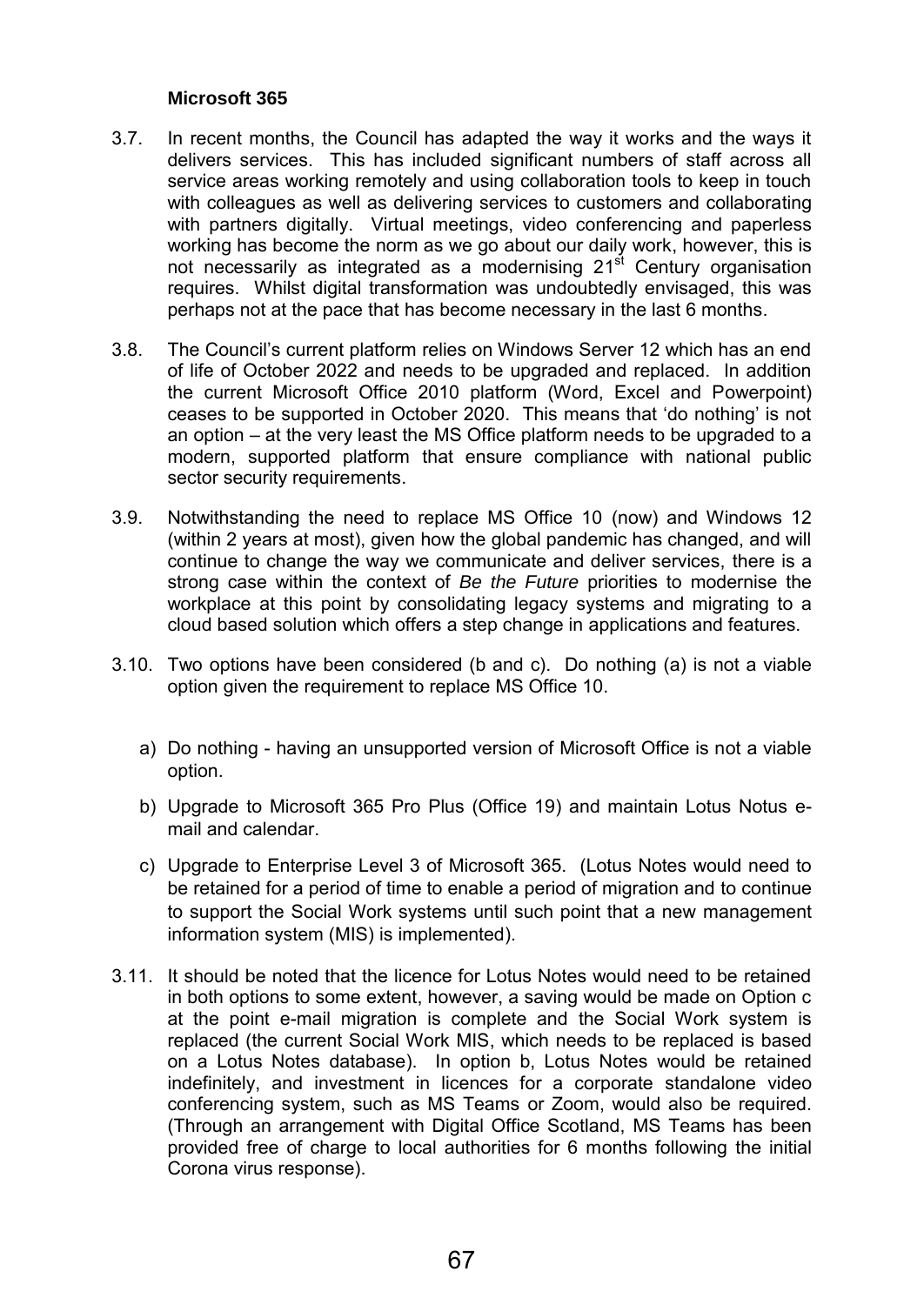#### **Microsoft 365**

- 3.7. In recent months, the Council has adapted the way it works and the ways it delivers services. This has included significant numbers of staff across all service areas working remotely and using collaboration tools to keep in touch with colleagues as well as delivering services to customers and collaborating with partners digitally. Virtual meetings, video conferencing and paperless working has become the norm as we go about our daily work, however, this is not necessarily as integrated as a modernising 21<sup>st</sup> Century organisation requires. Whilst digital transformation was undoubtedly envisaged, this was perhaps not at the pace that has become necessary in the last 6 months.
- 3.8. The Council's current platform relies on Windows Server 12 which has an end of life of October 2022 and needs to be upgraded and replaced. In addition the current Microsoft Office 2010 platform (Word, Excel and Powerpoint) ceases to be supported in October 2020. This means that 'do nothing' is not an option – at the very least the MS Office platform needs to be upgraded to a modern, supported platform that ensure compliance with national public sector security requirements.
- 3.9. Notwithstanding the need to replace MS Office 10 (now) and Windows 12 (within 2 years at most), given how the global pandemic has changed, and will continue to change the way we communicate and deliver services, there is a strong case within the context of *Be the Future* priorities to modernise the workplace at this point by consolidating legacy systems and migrating to a cloud based solution which offers a step change in applications and features.
- 3.10. Two options have been considered (b and c). Do nothing (a) is not a viable option given the requirement to replace MS Office 10.
	- a) Do nothing having an unsupported version of Microsoft Office is not a viable option.
	- b) Upgrade to Microsoft 365 Pro Plus (Office 19) and maintain Lotus Notus email and calendar.
	- c) Upgrade to Enterprise Level 3 of Microsoft 365. (Lotus Notes would need to be retained for a period of time to enable a period of migration and to continue to support the Social Work systems until such point that a new management information system (MIS) is implemented).
- 3.11. It should be noted that the licence for Lotus Notes would need to be retained in both options to some extent, however, a saving would be made on Option c at the point e-mail migration is complete and the Social Work system is replaced (the current Social Work MIS, which needs to be replaced is based on a Lotus Notes database). In option b, Lotus Notes would be retained indefinitely, and investment in licences for a corporate standalone video conferencing system, such as MS Teams or Zoom, would also be required. (Through an arrangement with Digital Office Scotland, MS Teams has been provided free of charge to local authorities for 6 months following the initial Corona virus response).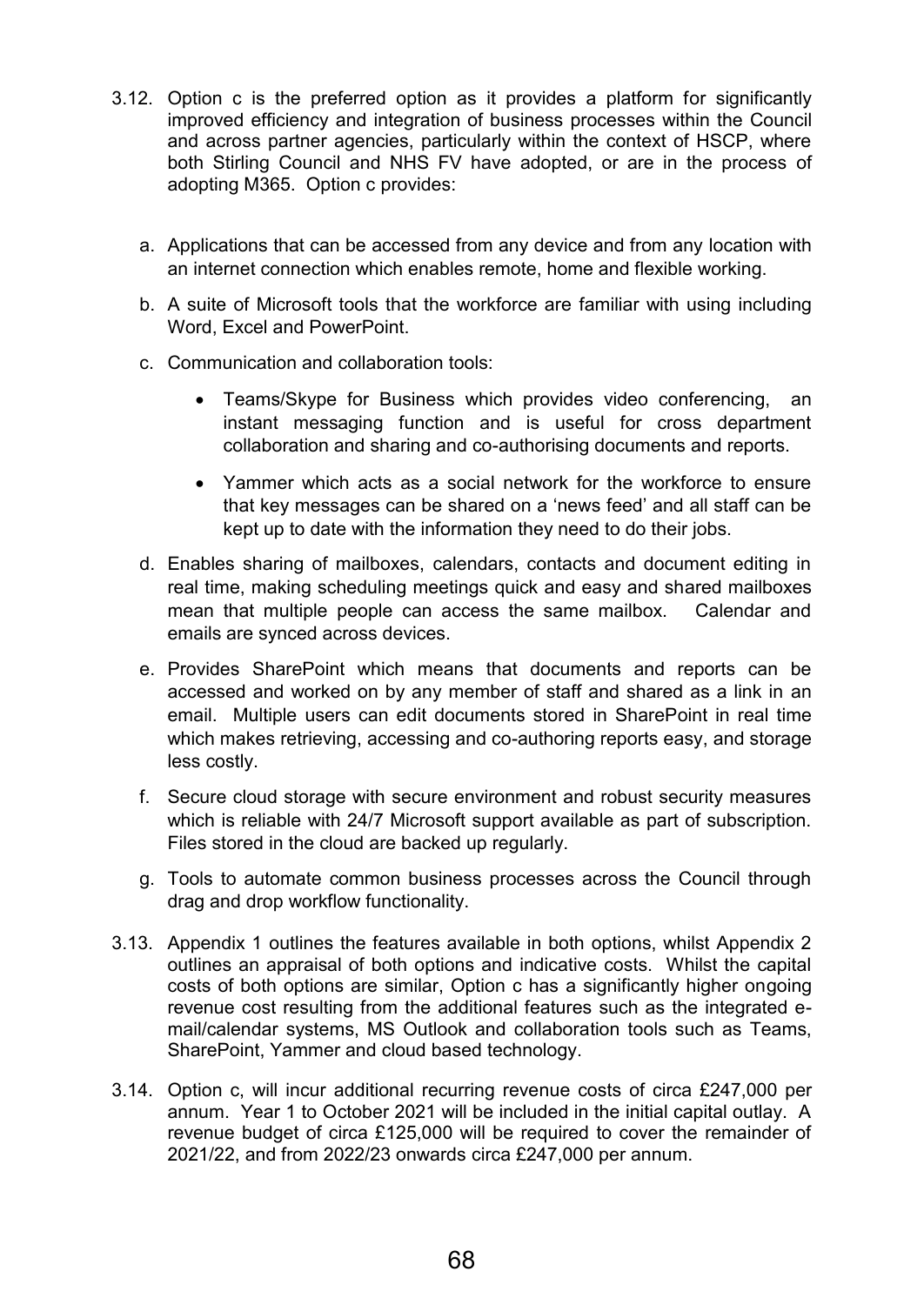- 3.12. Option c is the preferred option as it provides a platform for significantly improved efficiency and integration of business processes within the Council and across partner agencies, particularly within the context of HSCP, where both Stirling Council and NHS FV have adopted, or are in the process of adopting M365. Option c provides:
	- a. Applications that can be accessed from any device and from any location with an internet connection which enables remote, home and flexible working.
	- b. A suite of Microsoft tools that the workforce are familiar with using including Word, Excel and PowerPoint.
	- c. Communication and collaboration tools:
		- Teams/Skype for Business which provides video conferencing, an instant messaging function and is useful for cross department collaboration and sharing and co-authorising documents and reports.
		- Yammer which acts as a social network for the workforce to ensure that key messages can be shared on a 'news feed' and all staff can be kept up to date with the information they need to do their jobs.
	- d. Enables sharing of mailboxes, calendars, contacts and document editing in real time, making scheduling meetings quick and easy and shared mailboxes mean that multiple people can access the same mailbox. Calendar and emails are synced across devices.
	- e. Provides SharePoint which means that documents and reports can be accessed and worked on by any member of staff and shared as a link in an email. Multiple users can edit documents stored in SharePoint in real time which makes retrieving, accessing and co-authoring reports easy, and storage less costly.
	- f. Secure cloud storage with secure environment and robust security measures which is reliable with 24/7 Microsoft support available as part of subscription. Files stored in the cloud are backed up regularly.
	- g. Tools to automate common business processes across the Council through drag and drop workflow functionality.
- 3.13. Appendix 1 outlines the features available in both options, whilst Appendix 2 outlines an appraisal of both options and indicative costs. Whilst the capital costs of both options are similar, Option c has a significantly higher ongoing revenue cost resulting from the additional features such as the integrated email/calendar systems, MS Outlook and collaboration tools such as Teams, SharePoint, Yammer and cloud based technology.
- 3.14. Option c, will incur additional recurring revenue costs of circa £247,000 per annum. Year 1 to October 2021 will be included in the initial capital outlay. A revenue budget of circa £125,000 will be required to cover the remainder of 2021/22, and from 2022/23 onwards circa £247,000 per annum.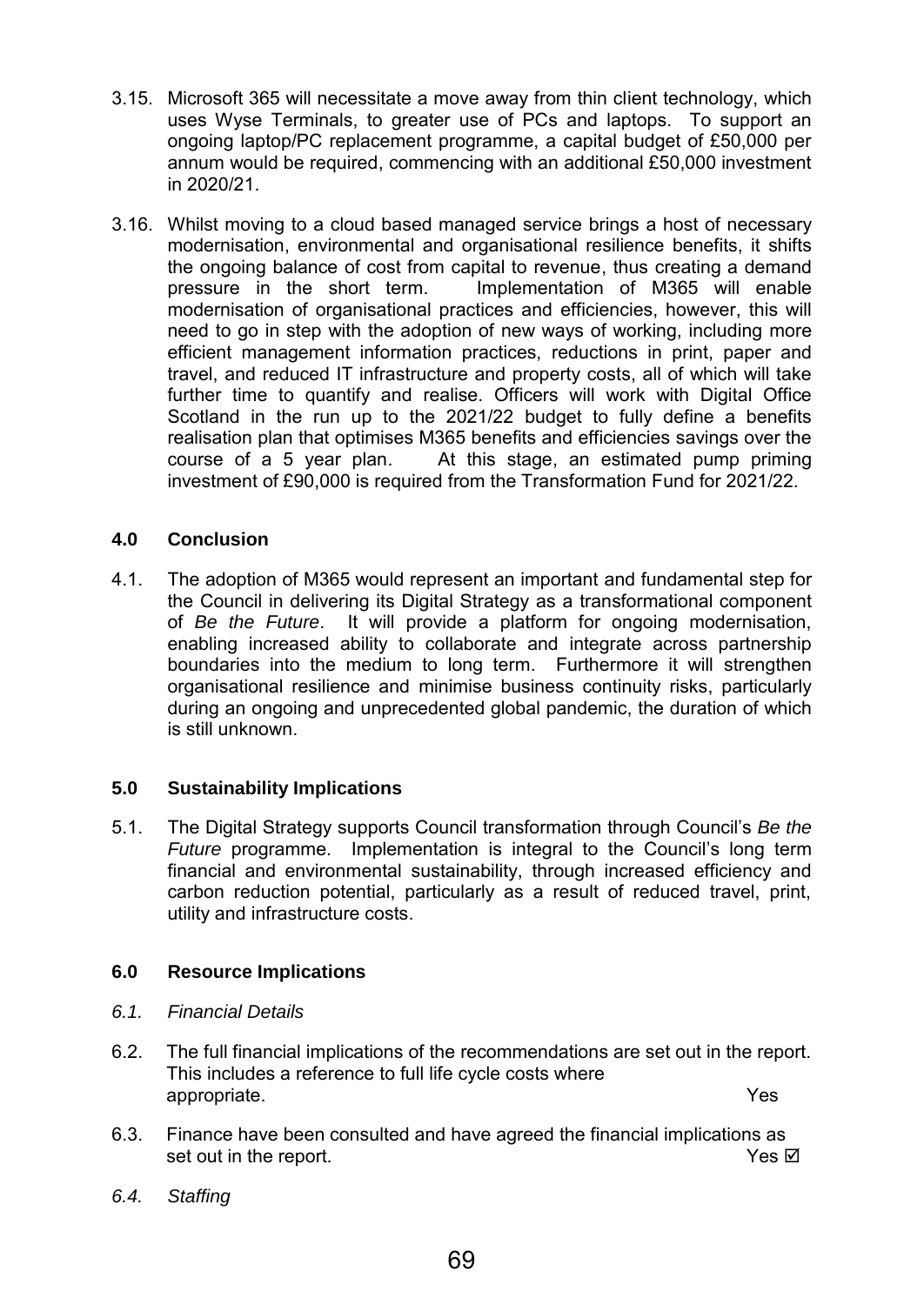- 3.15. Microsoft 365 will necessitate a move away from thin client technology, which uses Wyse Terminals, to greater use of PCs and laptops. To support an ongoing laptop/PC replacement programme, a capital budget of £50,000 per annum would be required, commencing with an additional £50,000 investment in 2020/21.
- 3.16. Whilst moving to a cloud based managed service brings a host of necessary modernisation, environmental and organisational resilience benefits, it shifts the ongoing balance of cost from capital to revenue, thus creating a demand pressure in the short term. Implementation of M365 will enable modernisation of organisational practices and efficiencies, however, this will need to go in step with the adoption of new ways of working, including more efficient management information practices, reductions in print, paper and travel, and reduced IT infrastructure and property costs, all of which will take further time to quantify and realise. Officers will work with Digital Office Scotland in the run up to the 2021/22 budget to fully define a benefits realisation plan that optimises M365 benefits and efficiencies savings over the course of a 5 year plan. At this stage, an estimated pump priming investment of £90,000 is required from the Transformation Fund for 2021/22.

## **4.0 Conclusion**

4.1. The adoption of M365 would represent an important and fundamental step for the Council in delivering its Digital Strategy as a transformational component of *Be the Future*. It will provide a platform for ongoing modernisation, enabling increased ability to collaborate and integrate across partnership boundaries into the medium to long term. Furthermore it will strengthen organisational resilience and minimise business continuity risks, particularly during an ongoing and unprecedented global pandemic, the duration of which is still unknown.

## **5.0 Sustainability Implications**

5.1. The Digital Strategy supports Council transformation through Council's *Be the Future* programme. Implementation is integral to the Council's long term financial and environmental sustainability, through increased efficiency and carbon reduction potential, particularly as a result of reduced travel, print, utility and infrastructure costs.

## **6.0 Resource Implications**

- *6.1. Financial Details*
- 6.2. The full financial implications of the recommendations are set out in the report. This includes a reference to full life cycle costs where appropriate. Yes
- 6.3. Finance have been consulted and have agreed the financial implications as set out in the report. The report of the report of the report of the report of the report of the report of the report of the report of the report of the report of the report of the report of the report of the report of the
- *6.4. Staffing*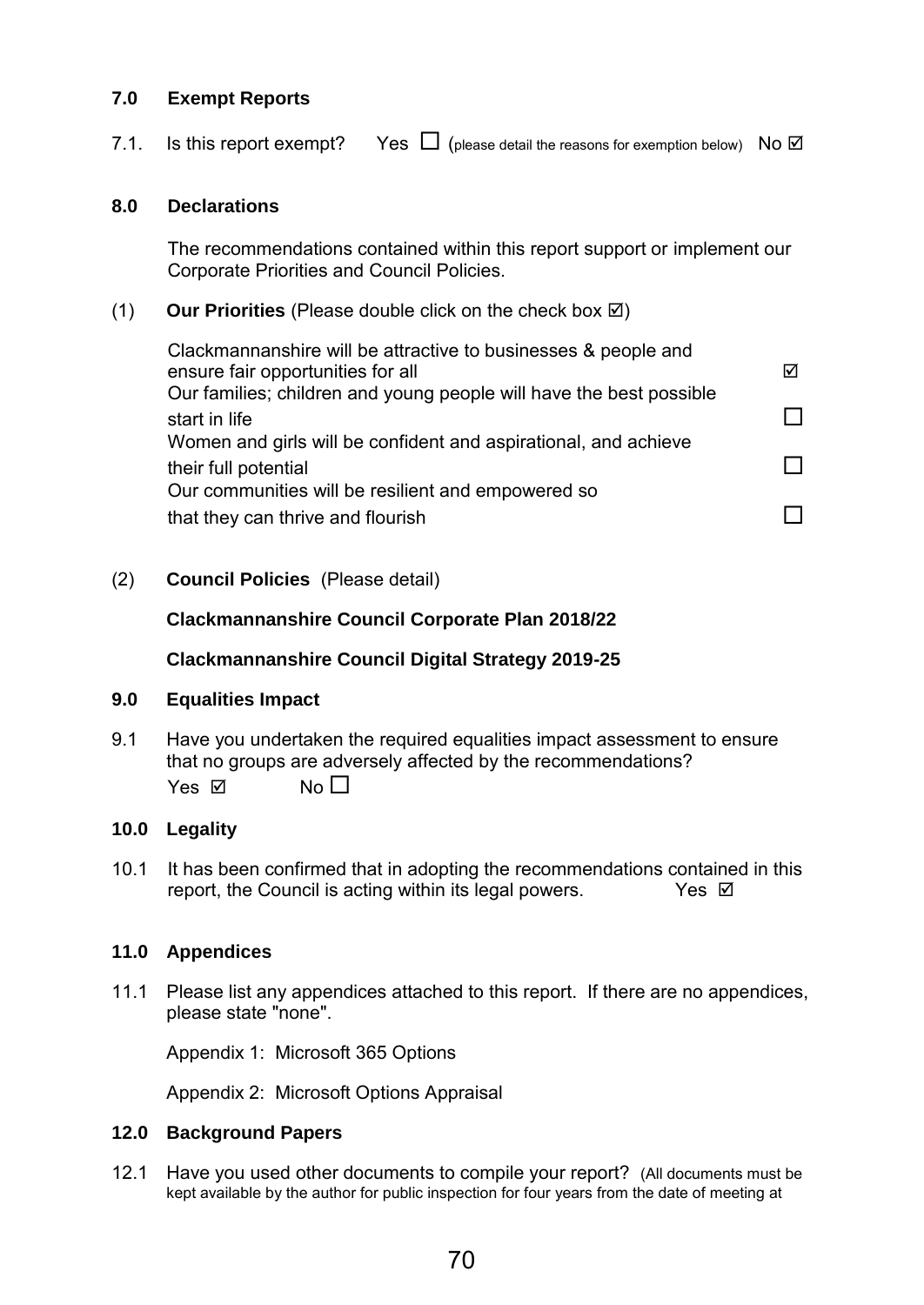## **7.0 Exempt Reports**

7.1. Is this report exempt? Yes  $\Box$  (please detail the reasons for exemption below) No  $\Box$ 

#### **8.0 Declarations**

The recommendations contained within this report support or implement our Corporate Priorities and Council Policies.

#### (1) **Our Priorities** (Please double click on the check box  $\boxtimes$ )

Clackmannanshire will be attractive to businesses & people and ensure fair opportunities for all ensure for a set of  $\boxtimes$ Our families; children and young people will have the best possible start in life  $\Box$ Women and girls will be confident and aspirational, and achieve their full potential Our communities will be resilient and empowered so that they can thrive and flourish  $\square$ 

(2) **Council Policies** (Please detail)

#### **Clackmannanshire Council Corporate Plan 2018/22**

## **Clackmannanshire Council Digital Strategy 2019-25**

#### **9.0 Equalities Impact**

9.1 Have you undertaken the required equalities impact assessment to ensure that no groups are adversely affected by the recommendations? Yes  $\nabla$  No  $\Box$ 

## **10.0 Legality**

10.1 It has been confirmed that in adopting the recommendations contained in this report, the Council is acting within its legal powers.  $Yes \n\mathbb{Z}$ 

#### **11.0 Appendices**

11.1 Please list any appendices attached to this report. If there are no appendices, please state "none".

Appendix 1: Microsoft 365 Options

Appendix 2: Microsoft Options Appraisal

#### **12.0 Background Papers**

12.1 Have you used other documents to compile your report? (All documents must be kept available by the author for public inspection for four years from the date of meeting at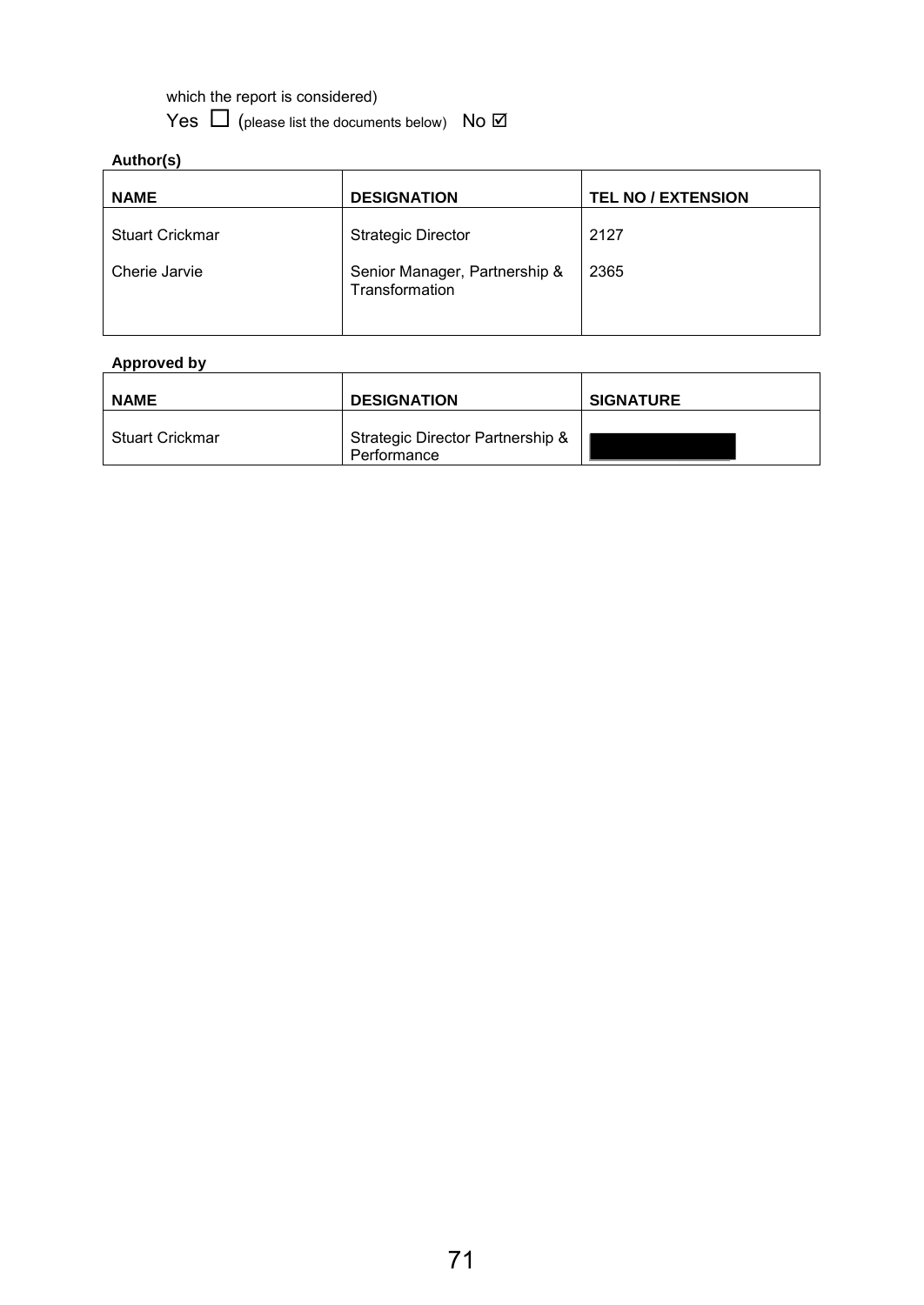which the report is considered)

Yes  $\Box$  (please list the documents below) No  $\Box$ 

## **Author(s)**

| <b>NAME</b>            | <b>DESIGNATION</b>                              | <b>TEL NO / EXTENSION</b> |
|------------------------|-------------------------------------------------|---------------------------|
| <b>Stuart Crickmar</b> | <b>Strategic Director</b>                       | 2127                      |
| Cherie Jarvie          | Senior Manager, Partnership &<br>Transformation | 2365                      |

## **Approved by**

| <b>NAME</b>            | <b>DESIGNATION</b>                              | <b>SIGNATURE</b> |
|------------------------|-------------------------------------------------|------------------|
| <b>Stuart Crickmar</b> | Strategic Director Partnership &<br>Performance |                  |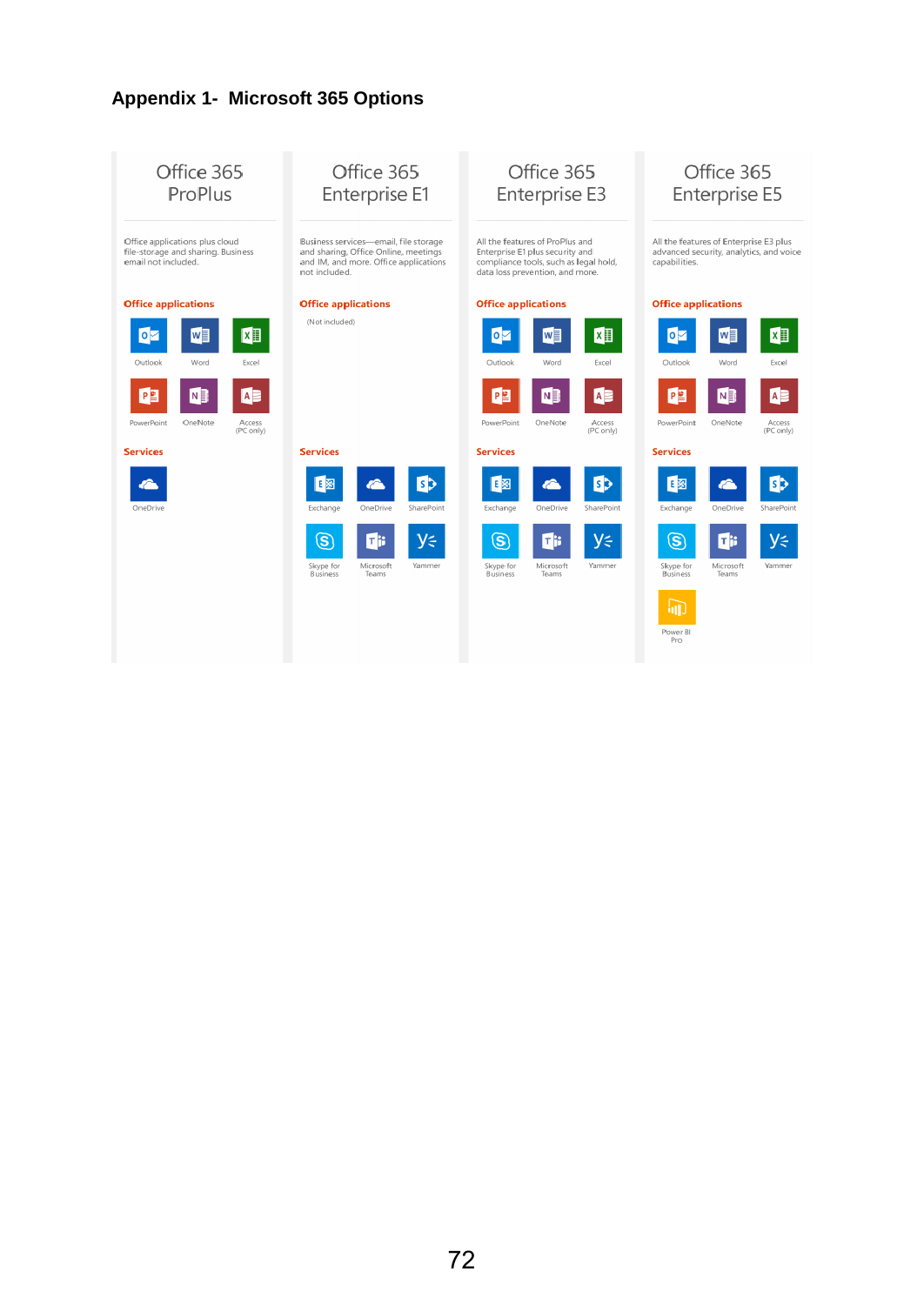# **Appendix 1- Microsoft 365 Options**

| Office 365                                                                                  | Office 365                                                                                                                              | Office 365                                                                                                                                     | Office 365                                                                                         |
|---------------------------------------------------------------------------------------------|-----------------------------------------------------------------------------------------------------------------------------------------|------------------------------------------------------------------------------------------------------------------------------------------------|----------------------------------------------------------------------------------------------------|
| ProPlus                                                                                     | Enterprise E1                                                                                                                           | Enterprise E3                                                                                                                                  | Enterprise E5                                                                                      |
| Office applications plus cloud<br>file-storage and sharing. Business<br>email not included. | Business services-email, file storage<br>and sharing, Office Online, meetings<br>and IM, and more. Office applications<br>not included. | All the features of ProPlus and<br>Enterprise E1 plus security and<br>compliance tools, such as legal hold,<br>data loss prevention, and more. | All the features of Enterprise E3 plus<br>advanced security, analytics, and voice<br>capabilities. |
| <b>Office applications</b>                                                                  | <b>Office applications</b>                                                                                                              | <b>Office applications</b>                                                                                                                     | <b>Office applications</b>                                                                         |
| X≣                                                                                          | (Not included)                                                                                                                          | $x \equiv$                                                                                                                                     | X∎                                                                                                 |
| w≣                                                                                          |                                                                                                                                         | $\circ$                                                                                                                                        | ∣ο⊡                                                                                                |
| l∘⊡                                                                                         |                                                                                                                                         | Iw                                                                                                                                             | W≣                                                                                                 |
| Outlook                                                                                     |                                                                                                                                         | Outlook                                                                                                                                        | Outlook                                                                                            |
| Word                                                                                        |                                                                                                                                         | Excel                                                                                                                                          | Word                                                                                               |
| Excel                                                                                       |                                                                                                                                         | Word                                                                                                                                           | Excel                                                                                              |
| PE                                                                                          |                                                                                                                                         | PE                                                                                                                                             | PE                                                                                                 |
| IAB                                                                                         |                                                                                                                                         | IAB                                                                                                                                            | ND                                                                                                 |
| NH                                                                                          |                                                                                                                                         | NH                                                                                                                                             | AE                                                                                                 |
| PowerPoint                                                                                  |                                                                                                                                         | PowerPoint                                                                                                                                     | PowerPoint                                                                                         |
| OneNote                                                                                     |                                                                                                                                         | OneNote                                                                                                                                        | OneNote                                                                                            |
| Access                                                                                      |                                                                                                                                         | Access                                                                                                                                         | Access                                                                                             |
| (PC only)                                                                                   |                                                                                                                                         | (PC only)                                                                                                                                      | (PC only)                                                                                          |
| <b>Services</b>                                                                             | <b>Services</b>                                                                                                                         | <b>Services</b>                                                                                                                                | <b>Services</b>                                                                                    |
|                                                                                             | E図<br>ls b                                                                                                                              | 国图<br>вÞ                                                                                                                                       | 旧図                                                                                                 |
| OneDrive                                                                                    | OneDrive                                                                                                                                | SharePoint                                                                                                                                     | Exchange                                                                                           |
|                                                                                             | SharePoint                                                                                                                              | Exchange                                                                                                                                       | OneDrive                                                                                           |
|                                                                                             | Exchange                                                                                                                                | OneDrive                                                                                                                                       | SharePoint                                                                                         |
|                                                                                             | Уś                                                                                                                                      | $\circledS$                                                                                                                                    | Уś                                                                                                 |
|                                                                                             | $\textcircled{\textit{s}}$                                                                                                              | Уś                                                                                                                                             | $\circleds$                                                                                        |
|                                                                                             | тR                                                                                                                                      | ПB                                                                                                                                             | ΠĦ                                                                                                 |
|                                                                                             | Microsoft                                                                                                                               | Skype for                                                                                                                                      | Skype for                                                                                          |
|                                                                                             | Skype for                                                                                                                               | Microsoft                                                                                                                                      | Microsoft                                                                                          |
|                                                                                             | Yammer                                                                                                                                  | Yammer                                                                                                                                         | Yammer                                                                                             |
|                                                                                             | <b>Business</b>                                                                                                                         | <b>Business</b>                                                                                                                                | Teams                                                                                              |
|                                                                                             | Teams                                                                                                                                   | Teams                                                                                                                                          | <b>Business</b>                                                                                    |
|                                                                                             |                                                                                                                                         |                                                                                                                                                | 加上<br>Power BI<br>Pro                                                                              |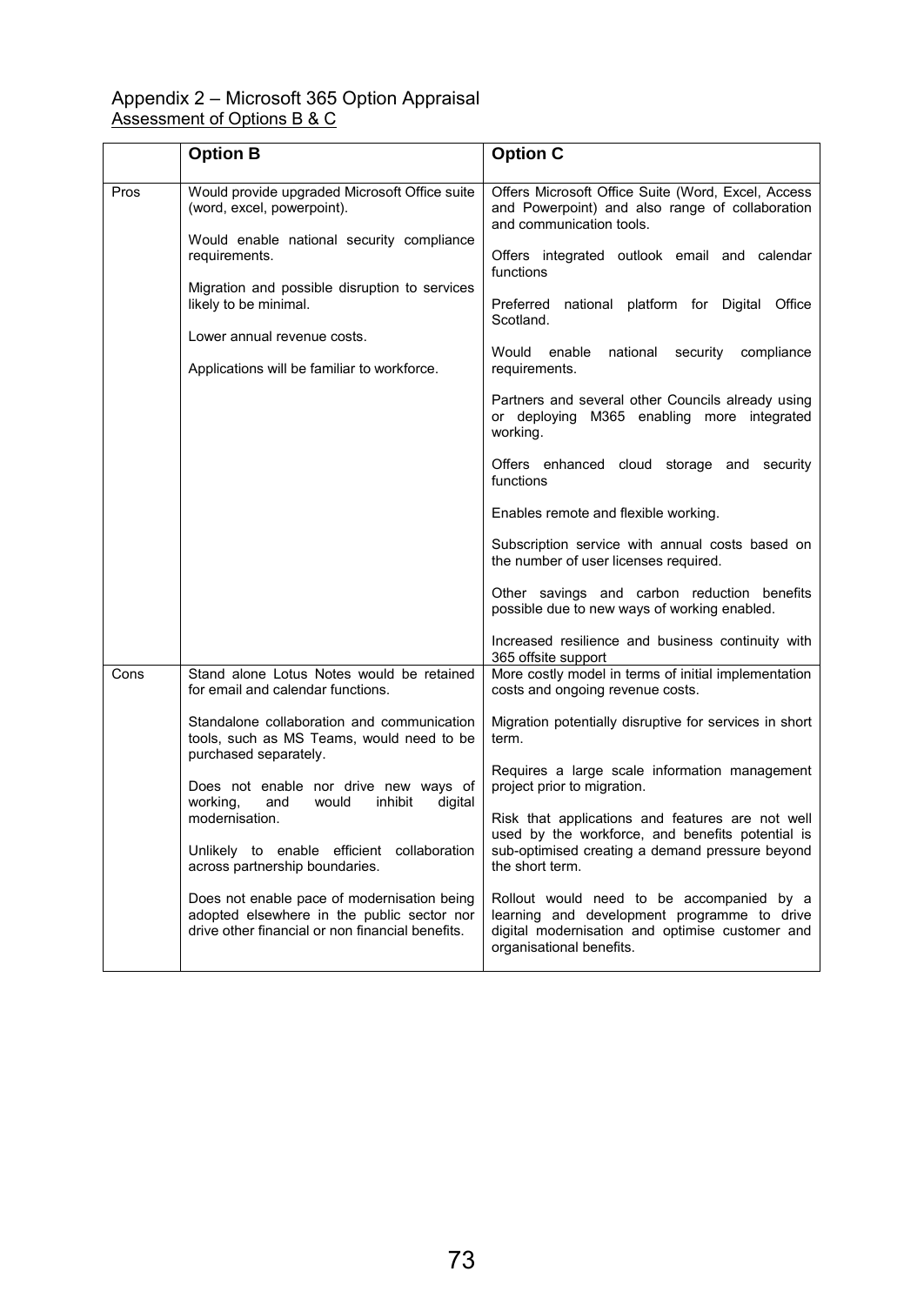#### Appendix 2 – Microsoft 365 Option Appraisal Assessment of Options B & C

|                                                                                                                  | <b>Option B</b>                                                                                                                               | <b>Option C</b>                                                                                                                                                         |
|------------------------------------------------------------------------------------------------------------------|-----------------------------------------------------------------------------------------------------------------------------------------------|-------------------------------------------------------------------------------------------------------------------------------------------------------------------------|
| Pros                                                                                                             | Would provide upgraded Microsoft Office suite<br>(word, excel, powerpoint).                                                                   | Offers Microsoft Office Suite (Word, Excel, Access<br>and Powerpoint) and also range of collaboration<br>and communication tools.                                       |
|                                                                                                                  | Would enable national security compliance<br>requirements.<br>Migration and possible disruption to services<br>likely to be minimal.          | Offers integrated outlook email and calendar<br>functions                                                                                                               |
|                                                                                                                  |                                                                                                                                               | Preferred<br>national platform for Digital Office<br>Scotland.                                                                                                          |
|                                                                                                                  | Lower annual revenue costs.                                                                                                                   | Would<br>enable<br>national<br>security<br>compliance                                                                                                                   |
|                                                                                                                  | Applications will be familiar to workforce.                                                                                                   | requirements.                                                                                                                                                           |
|                                                                                                                  |                                                                                                                                               | Partners and several other Councils already using<br>or deploying M365 enabling more integrated<br>working.                                                             |
|                                                                                                                  |                                                                                                                                               | Offers enhanced cloud storage and security<br>functions                                                                                                                 |
|                                                                                                                  |                                                                                                                                               | Enables remote and flexible working.                                                                                                                                    |
|                                                                                                                  |                                                                                                                                               | Subscription service with annual costs based on<br>the number of user licenses required.                                                                                |
|                                                                                                                  |                                                                                                                                               | Other savings and carbon reduction benefits<br>possible due to new ways of working enabled.                                                                             |
|                                                                                                                  |                                                                                                                                               | Increased resilience and business continuity with<br>365 offsite support                                                                                                |
| Cons                                                                                                             | Stand alone Lotus Notes would be retained<br>for email and calendar functions.                                                                | More costly model in terms of initial implementation<br>costs and ongoing revenue costs.                                                                                |
| purchased separately.<br>working,<br>inhibit<br>and<br>would<br>modernisation.<br>across partnership boundaries. | Standalone collaboration and communication<br>tools, such as MS Teams, would need to be                                                       | Migration potentially disruptive for services in short<br>term.                                                                                                         |
|                                                                                                                  | Does not enable nor drive new ways of<br>digital                                                                                              | Requires a large scale information management<br>project prior to migration.                                                                                            |
|                                                                                                                  |                                                                                                                                               | Risk that applications and features are not well<br>used by the workforce, and benefits potential is                                                                    |
|                                                                                                                  | Unlikely to enable efficient collaboration                                                                                                    | sub-optimised creating a demand pressure beyond<br>the short term.                                                                                                      |
|                                                                                                                  | Does not enable pace of modernisation being<br>adopted elsewhere in the public sector nor<br>drive other financial or non financial benefits. | Rollout would need to be accompanied by a<br>learning and development programme to drive<br>digital modernisation and optimise customer and<br>organisational benefits. |